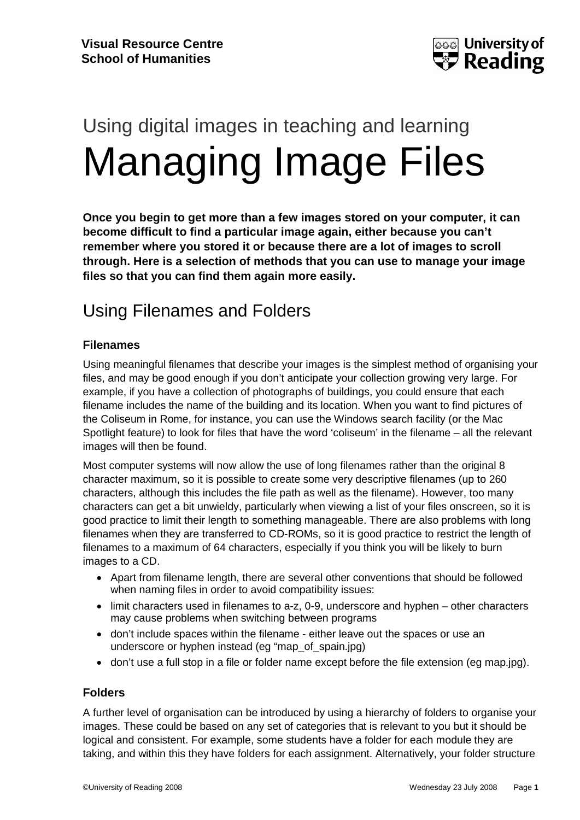

# Using digital images in teaching and learning Managing Image Files

**Once you begin to get more than a few images stored on your computer, it can become difficult to find a particular image again, either because you can't remember where you stored it or because there are a lot of images to scroll through. Here is a selection of methods that you can use to manage your image files so that you can find them again more easily.**

## Using Filenames and Folders

#### **Filenames**

Using meaningful filenames that describe your images is the simplest method of organising your files, and may be good enough if you don't anticipate your collection growing very large. For example, if you have a collection of photographs of buildings, you could ensure that each filename includes the name of the building and its location. When you want to find pictures of the Coliseum in Rome, for instance, you can use the Windows search facility (or the Mac Spotlight feature) to look for files that have the word 'coliseum' in the filename – all the relevant images will then be found.

Most computer systems will now allow the use of long filenames rather than the original 8 character maximum, so it is possible to create some very descriptive filenames (up to 260 characters, although this includes the file path as well as the filename). However, too many characters can get a bit unwieldy, particularly when viewing a list of your files onscreen, so it is good practice to limit their length to something manageable. There are also problems with long filenames when they are transferred to CD-ROMs, so it is good practice to restrict the length of filenames to a maximum of 64 characters, especially if you think you will be likely to burn images to a CD.

- Apart from filename length, there are several other conventions that should be followed when naming files in order to avoid compatibility issues:
- limit characters used in filenames to a-z, 0-9, underscore and hyphen other characters may cause problems when switching between programs
- don't include spaces within the filename either leave out the spaces or use an underscore or hyphen instead (eg "map\_of\_spain.jpg)
- don't use a full stop in a file or folder name except before the file extension (eg map.jpg).

#### **Folders**

A further level of organisation can be introduced by using a hierarchy of folders to organise your images. These could be based on any set of categories that is relevant to you but it should be logical and consistent. For example, some students have a folder for each module they are taking, and within this they have folders for each assignment. Alternatively, your folder structure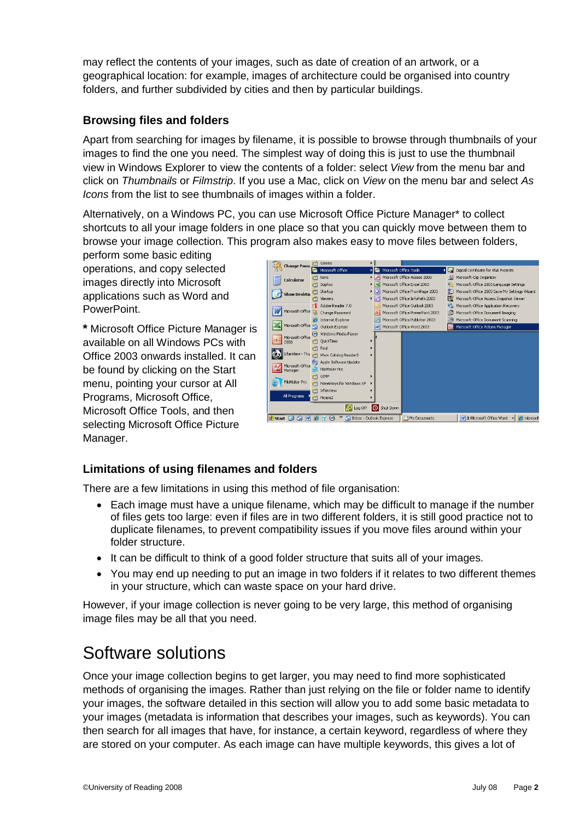may reflect the contents of your images, such as date of creation of an artwork, or a geographical location: for example, images of architecture could be organised into country folders, and further subdivided by cities and then by particular buildings.

#### **Browsing files and folders**

Apart from searching for images by filename, it is possible to browse through thumbnails of your images to find the one you need. The simplest way of doing this is just to use the thumbnail view in Windows Explorer to view the contents of a folder: select *View* from the menu bar and click on *Thumbnails* or *Filmstrip*. If you use a Mac, click on *View* on the menu bar and select *As Icons* from the list to see thumbnails of images within a folder.

Alternatively, on a Windows PC, you can use Microsoft Office Picture Manager\* to collect shortcuts to all your image folders in one place so that you can quickly move between them to browse your image collection. This program also makes easy to move files between folders,

perform some basic editing operations, and copy selected images directly into Microsoft applications such as Word and PowerPoint.

**\*** Microsoft Office Picture Manager is available on all Windows PCs with Office 2003 onwards installed. It can be found by clicking on the Start menu, pointing your cursor at All Programs, Microsoft Office, Microsoft Office Tools, and then selecting Microsoft Office Picture Manager.



#### **Limitations of using filenames and folders**

There are a few limitations in using this method of file organisation:

- Each image must have a unique filename, which may be difficult to manage if the number of files gets too large: even if files are in two different folders, it is still good practice not to duplicate filenames, to prevent compatibility issues if you move files around within your folder structure.
- It can be difficult to think of a good folder structure that suits all of your images.
- You may end up needing to put an image in two folders if it relates to two different themes in your structure, which can waste space on your hard drive.

However, if your image collection is never going to be very large, this method of organising image files may be all that you need.

## Software solutions

Once your image collection begins to get larger, you may need to find more sophisticated methods of organising the images. Rather than just relying on the file or folder name to identify your images, the software detailed in this section will allow you to add some basic metadata to your images (metadata is information that describes your images, such as keywords). You can then search for all images that have, for instance, a certain keyword, regardless of where they are stored on your computer. As each image can have multiple keywords, this gives a lot of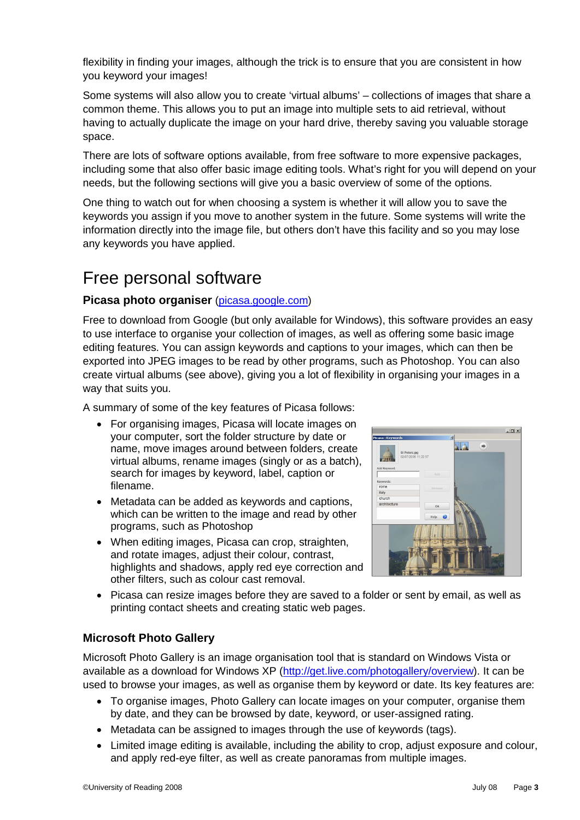flexibility in finding your images, although the trick is to ensure that you are consistent in how you keyword your images!

Some systems will also allow you to create 'virtual albums' – collections of images that share a common theme. This allows you to put an image into multiple sets to aid retrieval, without having to actually duplicate the image on your hard drive, thereby saving you valuable storage space.

There are lots of software options available, from free software to more expensive packages, including some that also offer basic image editing tools. What's right for you will depend on your needs, but the following sections will give you a basic overview of some of the options.

One thing to watch out for when choosing a system is whether it will allow you to save the keywords you assign if you move to another system in the future. Some systems will write the information directly into the image file, but others don't have this facility and so you may lose any keywords you have applied.

## Free personal software

#### **Picasa photo organiser** (picasa.google.com)

Free to download from Google (but only available for Windows), this software provides an easy to use interface to organise your collection of images, as well as offering some basic image editing features. You can assign keywords and captions to your images, which can then be exported into JPEG images to be read by other programs, such as Photoshop. You can also create virtual albums (see above), giving you a lot of flexibility in organising your images in a way that suits you.

A summary of some of the key features of Picasa follows:

- For organising images, Picasa will locate images on your computer, sort the folder structure by date or name, move images around between folders, create virtual albums, rename images (singly or as a batch), search for images by keyword, label, caption or filename.
- Metadata can be added as keywords and captions, which can be written to the image and read by other programs, such as Photoshop
- When editing images, Picasa can crop, straighten, and rotate images, adjust their colour, contrast, highlights and shadows, apply red eye correction and other filters, such as colour cast removal.



• Picasa can resize images before they are saved to a folder or sent by email, as well as printing contact sheets and creating static web pages.

#### **Microsoft Photo Gallery**

Microsoft Photo Gallery is an image organisation tool that is standard on Windows Vista or available as a download for Windows XP (http://get.live.com/photogallery/overview). It can be used to browse your images, as well as organise them by keyword or date. Its key features are:

- To organise images, Photo Gallery can locate images on your computer, organise them by date, and they can be browsed by date, keyword, or user-assigned rating.
- Metadata can be assigned to images through the use of keywords (tags).
- Limited image editing is available, including the ability to crop, adjust exposure and colour, and apply red-eye filter, as well as create panoramas from multiple images.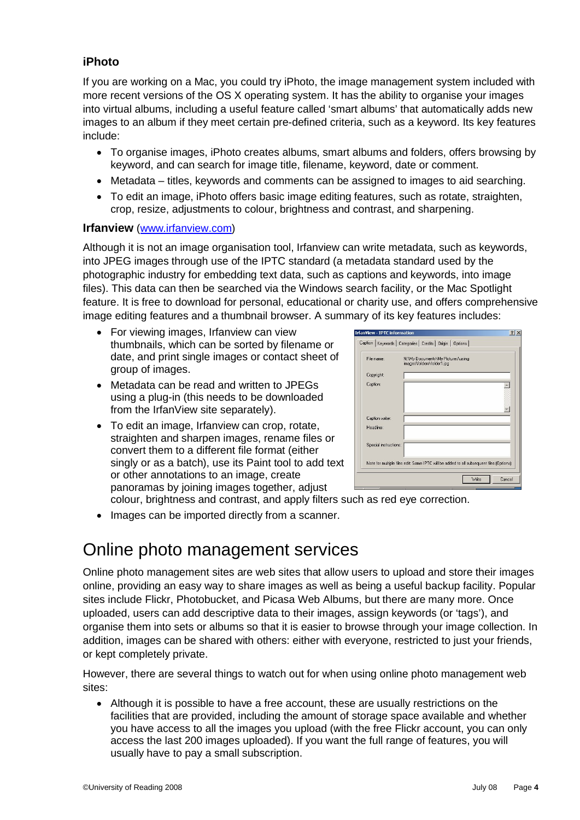#### **iPhoto**

If you are working on a Mac, you could try iPhoto, the image management system included with more recent versions of the OS X operating system. It has the ability to organise your images into virtual albums, including a useful feature called 'smart albums' that automatically adds new images to an album if they meet certain pre-defined criteria, such as a keyword. Its key features include:

- To organise images, iPhoto creates albums, smart albums and folders, offers browsing by keyword, and can search for image title, filename, keyword, date or comment.
- Metadata titles, keywords and comments can be assigned to images to aid searching.
- To edit an image, iPhoto offers basic image editing features, such as rotate, straighten, crop, resize, adjustments to colour, brightness and contrast, and sharpening.

#### **Irfanview** (www.irfanview.com)

Although it is not an image organisation tool, Irfanview can write metadata, such as keywords, into JPEG images through use of the IPTC standard (a metadata standard used by the photographic industry for embedding text data, such as captions and keywords, into image files). This data can then be searched via the Windows search facility, or the Mac Spotlight feature. It is free to download for personal, educational or charity use, and offers comprehensive image editing features and a thumbnail browser. A summary of its key features includes:

- For viewing images, Irfanview can view thumbnails, which can be sorted by filename or date, and print single images or contact sheet of group of images.
- Metadata can be read and written to JPEGs using a plug-in (this needs to be downloaded from the IrfanView site separately).
- To edit an image, Irfanview can crop, rotate, straighten and sharpen images, rename files or convert them to a different file format (either singly or as a batch), use its Paint tool to add text or other annotations to an image, create panoramas by joining images together, adjust

|            | <b>IrfanView - IPTC information</b><br>Caption   Keywords   Categories   Credits   Origin   Options |                                                                 |  |       |        |
|------------|-----------------------------------------------------------------------------------------------------|-----------------------------------------------------------------|--|-------|--------|
| File name: |                                                                                                     | N:\My Documents\My Pictures\using<br>images\folders\folder1.jpg |  |       |        |
| Copyright: |                                                                                                     |                                                                 |  |       |        |
| Caption:   |                                                                                                     |                                                                 |  |       |        |
|            |                                                                                                     |                                                                 |  |       |        |
|            | Caption writer:                                                                                     |                                                                 |  |       |        |
| Headline:  |                                                                                                     |                                                                 |  |       |        |
|            | Special instructions:                                                                               |                                                                 |  |       |        |
|            | Note for multiple files edit: Same IPTC will be added to all subsequent files (Options)             |                                                                 |  |       |        |
|            |                                                                                                     |                                                                 |  | Write | Cancel |

colour, brightness and contrast, and apply filters such as red eye correction.

• Images can be imported directly from a scanner.

## Online photo management services

Online photo management sites are web sites that allow users to upload and store their images online, providing an easy way to share images as well as being a useful backup facility. Popular sites include Flickr, Photobucket, and Picasa Web Albums, but there are many more. Once uploaded, users can add descriptive data to their images, assign keywords (or 'tags'), and organise them into sets or albums so that it is easier to browse through your image collection. In addition, images can be shared with others: either with everyone, restricted to just your friends, or kept completely private.

However, there are several things to watch out for when using online photo management web sites:

 Although it is possible to have a free account, these are usually restrictions on the facilities that are provided, including the amount of storage space available and whether you have access to all the images you upload (with the free Flickr account, you can only access the last 200 images uploaded). If you want the full range of features, you will usually have to pay a small subscription.